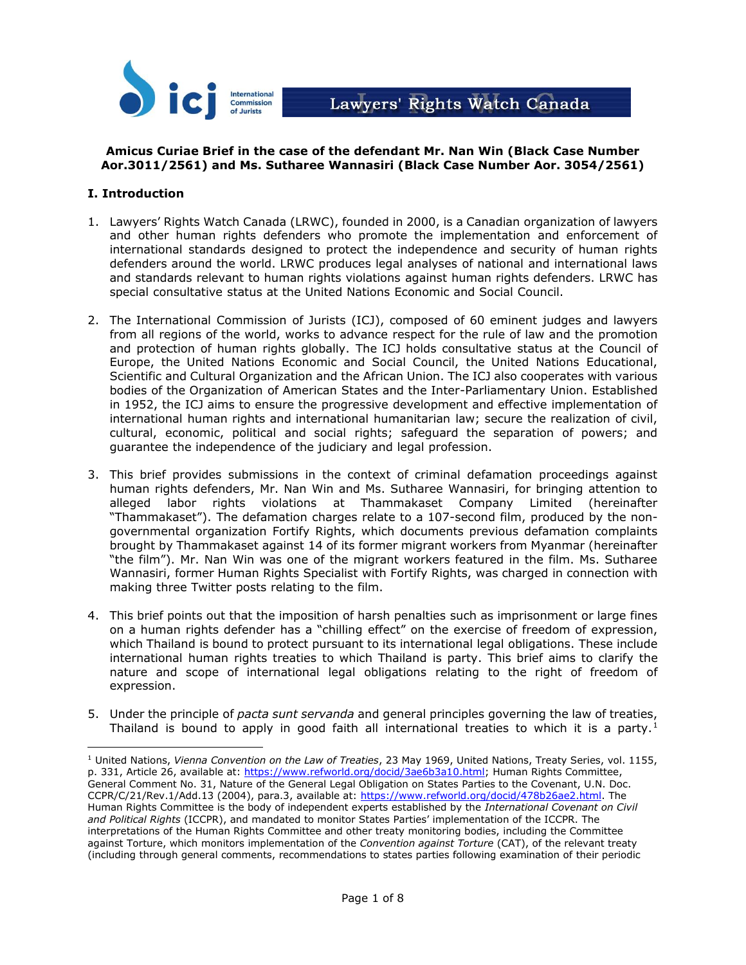

# **Amicus Curiae Brief in the case of the defendant Mr. Nan Win (Black Case Number Aor.3011/2561) and Ms. Sutharee Wannasiri (Black Case Number Aor. 3054/2561)**

## **I. Introduction**

- 1. Lawyers' Rights Watch Canada (LRWC), founded in 2000, is a Canadian organization of lawyers and other human rights defenders who promote the implementation and enforcement of international standards designed to protect the independence and security of human rights defenders around the world. LRWC produces legal analyses of national and international laws and standards relevant to human rights violations against human rights defenders. LRWC has special consultative status at the United Nations Economic and Social Council.
- 2. The International Commission of Jurists (ICJ), composed of 60 eminent judges and lawyers from all regions of the world, works to advance respect for the rule of law and the promotion and protection of human rights globally. The ICJ holds consultative status at the Council of Europe, the United Nations Economic and Social Council, the United Nations Educational, Scientific and Cultural Organization and the African Union. The ICJ also cooperates with various bodies of the Organization of American States and the Inter-Parliamentary Union. Established in 1952, the ICJ aims to ensure the progressive development and effective implementation of international human rights and international humanitarian law; secure the realization of civil, cultural, economic, political and social rights; safeguard the separation of powers; and guarantee the independence of the judiciary and legal profession.
- 3. This brief provides submissions in the context of criminal defamation proceedings against human rights defenders, Mr. Nan Win and Ms. Sutharee Wannasiri, for bringing attention to alleged labor rights violations at Thammakaset Company Limited (hereinafter "Thammakaset"). The defamation charges relate to a 107-second film, produced by the nongovernmental organization Fortify Rights, which documents previous defamation complaints brought by Thammakaset against 14 of its former migrant workers from Myanmar (hereinafter "the film"). Mr. Nan Win was one of the migrant workers featured in the film. Ms. Sutharee Wannasiri, former Human Rights Specialist with Fortify Rights, was charged in connection with making three Twitter posts relating to the film.
- 4. This brief points out that the imposition of harsh penalties such as imprisonment or large fines on a human rights defender has a "chilling effect" on the exercise of freedom of expression, which Thailand is bound to protect pursuant to its international legal obligations. These include international human rights treaties to which Thailand is party. This brief aims to clarify the nature and scope of international legal obligations relating to the right of freedom of expression.
- 5. Under the principle of *pacta sunt servanda* and general principles governing the law of treaties, Thailand is bound to apply in good faith all international treaties to which it is a party.<sup>1</sup>

<sup>1</sup> United Nations, *Vienna Convention on the Law of Treaties*, 23 May 1969, United Nations, Treaty Series, vol. 1155, p. 331, Article 26, available at: [https://www.refworld.org/docid/3ae6b3a10.html;](https://www.refworld.org/docid/3ae6b3a10.html) Human Rights Committee, General Comment No. 31, Nature of the General Legal Obligation on States Parties to the Covenant, U.N. Doc. CCPR/C/21/Rev.1/Add.13 (2004), para.3, available at: https://www.refworld.org/docid/478b26ae2.html</u>. The Human Rights Committee is the body of independent experts established by the *International Covenant on Civil and Political Rights* (ICCPR), and mandated to monitor States Parties' implementation of the ICCPR. The interpretations of the Human Rights Committee and other treaty monitoring bodies, including the Committee against Torture, which monitors implementation of the *Convention against Torture* (CAT), of the relevant treaty (including through general comments, recommendations to states parties following examination of their periodic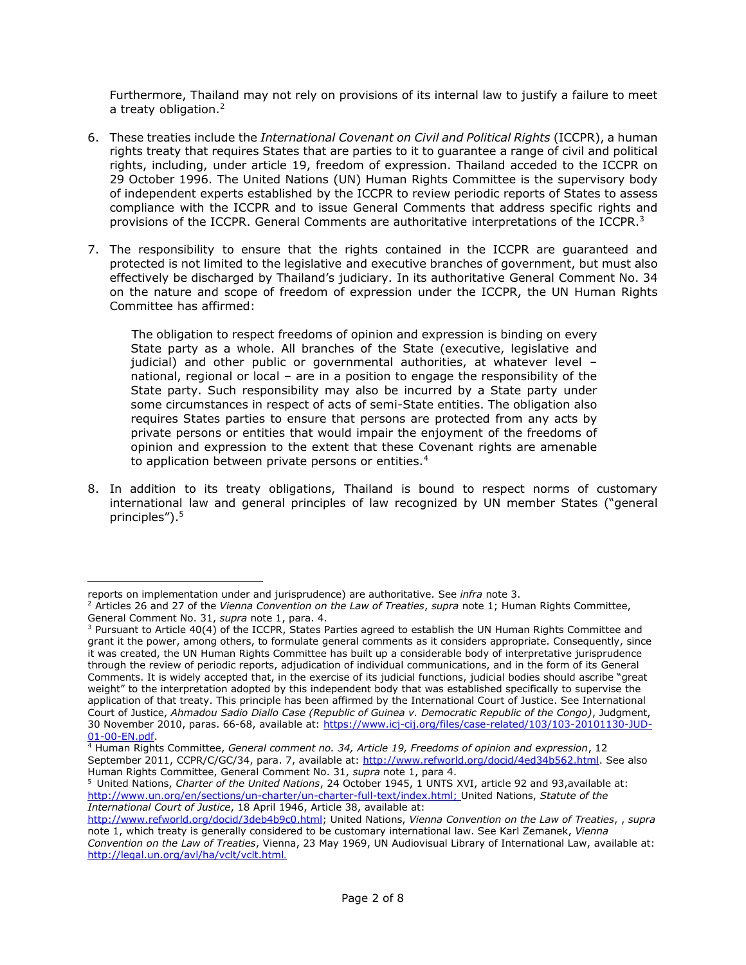Furthermore, Thailand may not rely on provisions of its internal law to justify a failure to meet a treaty obligation.<sup>2</sup>

- 6. These treaties include the *International Covenant on Civil and Political Rights* (ICCPR), a human rights treaty that requires States that are parties to it to guarantee a range of civil and political rights, including, under article 19, freedom of expression. Thailand acceded to the ICCPR on 29 October 1996. The United Nations (UN) Human Rights Committee is the supervisory body of independent experts established by the ICCPR to review periodic reports of States to assess compliance with the ICCPR and to issue General Comments that address specific rights and provisions of the ICCPR. General Comments are authoritative interpretations of the ICCPR.<sup>3</sup>
- 7. The responsibility to ensure that the rights contained in the ICCPR are guaranteed and protected is not limited to the legislative and executive branches of government, but must also effectively be discharged by Thailand's judiciary. In its authoritative General Comment No. 34 on the nature and scope of freedom of expression under the ICCPR, the UN Human Rights Committee has affirmed:

The obligation to respect freedoms of opinion and expression is binding on every State party as a whole. All branches of the State (executive, legislative and judicial) and other public or governmental authorities, at whatever level – national, regional or local – are in a position to engage the responsibility of the State party. Such responsibility may also be incurred by a State party under some circumstances in respect of acts of semi-State entities. The obligation also requires States parties to ensure that persons are protected from any acts by private persons or entities that would impair the enjoyment of the freedoms of opinion and expression to the extent that these Covenant rights are amenable to application between private persons or entities.<sup>4</sup>

8. In addition to its treaty obligations, Thailand is bound to respect norms of customary international law and general principles of law recognized by UN member States ("general principles").<sup>5</sup>

 $\overline{a}$ reports on implementation under and jurisprudence) are authoritative. See *infra* note 3.

<sup>2</sup> Articles 26 and 27 of the *Vienna Convention on the Law of Treaties*, *supra* note 1; Human Rights Committee, General Comment No. 31, *supra* note 1, para. 4.

<sup>&</sup>lt;sup>3</sup> Pursuant to Article 40(4) of the ICCPR, States Parties agreed to establish the UN Human Rights Committee and grant it the power, among others, to formulate general comments as it considers appropriate. Consequently, since it was created, the UN Human Rights Committee has built up a considerable body of interpretative jurisprudence through the review of periodic reports, adjudication of individual communications, and in the form of its General Comments. It is widely accepted that, in the exercise of its judicial functions, judicial bodies should ascribe "great weight" to the interpretation adopted by this independent body that was established specifically to supervise the application of that treaty. This principle has been affirmed by the International Court of Justice. See International Court of Justice, *Ahmadou Sadio Diallo Case (Republic of Guinea v. Democratic Republic of the Congo)*, Judgment, 30 November 2010, paras. 66-68, available at: https://www.icj-cij.org/files/case-related/103/103-20101130-JUD-01-00-EN.pdf.

<sup>4</sup> Human Rights Committee, *General comment no. 34, Article 19, Freedoms of opinion and expression*, 12 September 2011, CCPR/C/GC/34, para. 7, available at: [http://www.refworld.org/docid/4ed34b562.html.](http://www.refworld.org/docid/4ed34b562.html) See also Human Rights Committee, General Comment No. 31, *supra* note 1, para 4.

<sup>5</sup> United Nations, *Charter of the United Nations*, 24 October 1945, 1 UNTS XVI, article 92 and 93,available at: [http://www.un.org/en/sections/un-charter/un-charter-full-text/index.html;](http://www.un.org/en/sections/un-charter/un-charter-full-text/index.html) United Nations, *Statute of the International Court of Justice*, 18 April 1946, Article 38, available at:

[http://www.refworld.org/docid/3deb4b9c0.html;](http://www.refworld.org/docid/3deb4b9c0.html) United Nations, *Vienna Convention on the Law of Treaties*, , *[supra](http://www.refworld.org/docid/3ae6b3a10.html)* note 1, which treaty is generally considered to be customary international law. See Karl Zemanek, *Vienna Convention on the Law of Treaties*, Vienna, 23 May 1969, UN Audiovisual Library of International Law, available at: <http://legal.un.org/avl/ha/vclt/vclt.html>.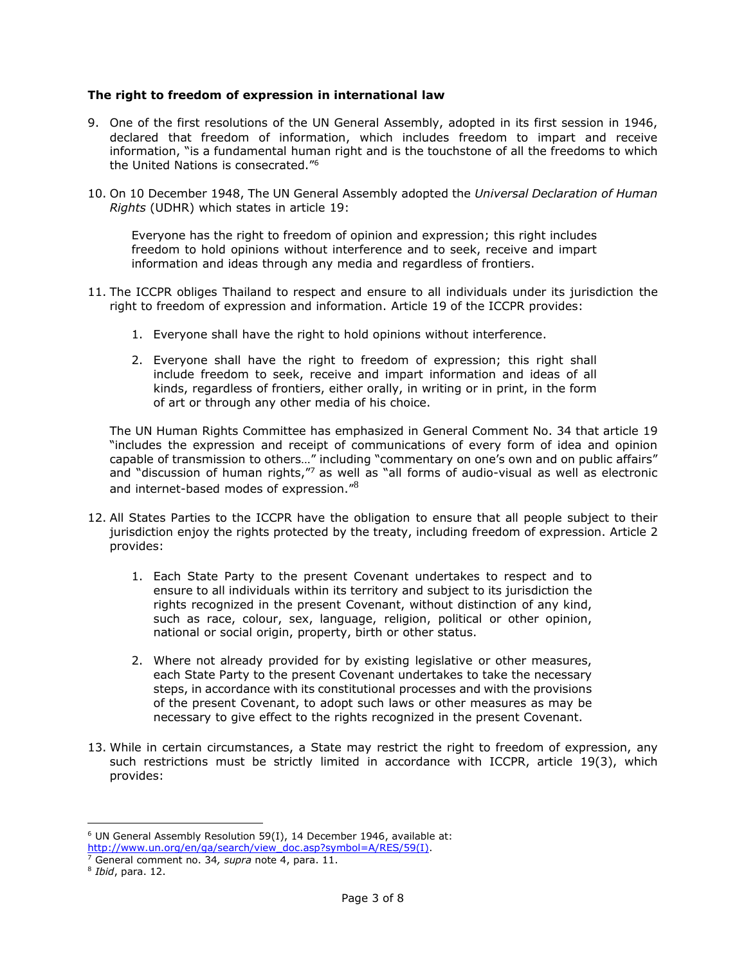#### **The right to freedom of expression in international law**

- 9. One of the first resolutions of the UN General Assembly, adopted in its first session in 1946, declared that freedom of information, which includes freedom to impart and receive information, "is a fundamental human right and is the touchstone of all the freedoms to which the United Nations is consecrated."<sup>6</sup>
- 10. On 10 December 1948, The UN General Assembly adopted the *Universal Declaration of Human Rights* (UDHR) which states in article 19:

Everyone has the right to freedom of opinion and expression; this right includes freedom to hold opinions without interference and to seek, receive and impart information and ideas through any media and regardless of frontiers.

- 11. The ICCPR obliges Thailand to respect and ensure to all individuals under its jurisdiction the right to freedom of expression and information. Article 19 of the ICCPR provides:
	- 1. Everyone shall have the right to hold opinions without interference.
	- 2. Everyone shall have the right to freedom of expression; this right shall include freedom to seek, receive and impart information and ideas of all kinds, regardless of frontiers, either orally, in writing or in print, in the form of art or through any other media of his choice.

The UN Human Rights Committee has emphasized in General Comment No. 34 that article 19 "includes the expression and receipt of communications of every form of idea and opinion capable of transmission to others…" including "commentary on one's own and on public affairs" and "discussion of human rights,"<sup>7</sup> as well as "all forms of audio-visual as well as electronic and internet-based modes of expression."<sup>8</sup>

- 12. All States Parties to the ICCPR have the obligation to ensure that all people subject to their jurisdiction enjoy the rights protected by the treaty, including freedom of expression. Article 2 provides:
	- 1. Each State Party to the present Covenant undertakes to respect and to ensure to all individuals within its territory and subject to its jurisdiction the rights recognized in the present Covenant, without distinction of any kind, such as race, colour, sex, language, religion, political or other opinion, national or social origin, property, birth or other status.
	- 2. Where not already provided for by existing legislative or other measures, each State Party to the present Covenant undertakes to take the necessary steps, in accordance with its constitutional processes and with the provisions of the present Covenant, to adopt such laws or other measures as may be necessary to give effect to the rights recognized in the present Covenant.
- 13. While in certain circumstances, a State may restrict the right to freedom of expression, any such restrictions must be strictly limited in accordance with ICCPR, article 19(3), which provides:

<sup>6</sup> UN General Assembly Resolution 59(I), 14 December 1946, available at: [http://www.un.org/en/ga/search/view\\_doc.asp?symbol=A/RES/59\(I\).](http://www.un.org/en/ga/search/view_doc.asp?symbol=A/RES/59(I))

<sup>7</sup> General comment no. 34*, supra* note 4, para. 11.

<sup>8</sup> *Ibid*, para. 12.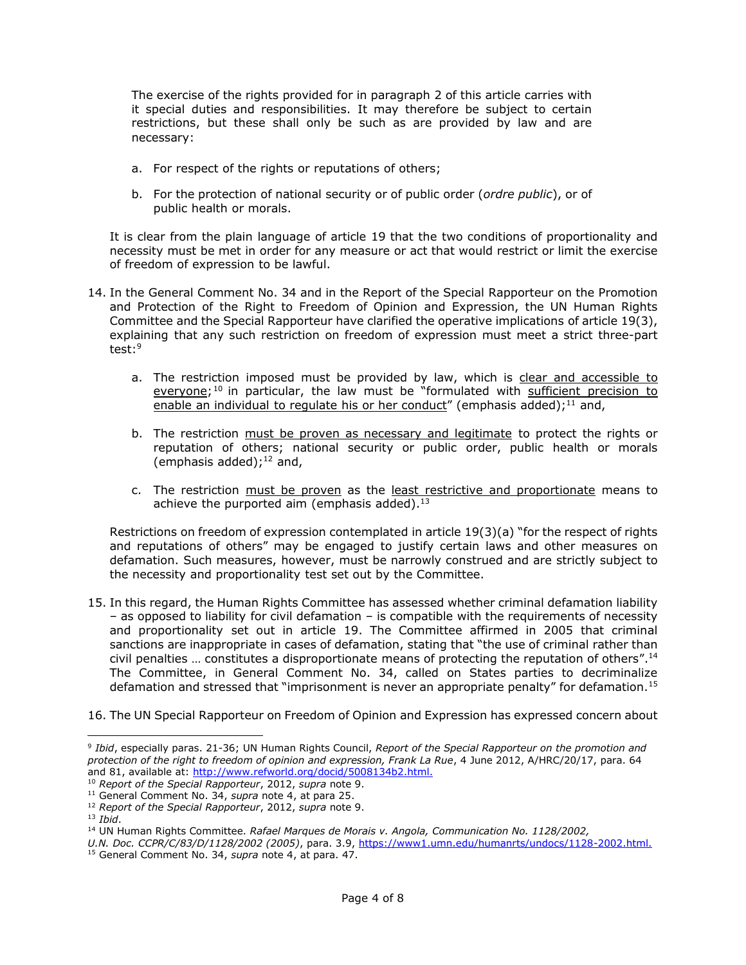The exercise of the rights provided for in paragraph 2 of this article carries with it special duties and responsibilities. It may therefore be subject to certain restrictions, but these shall only be such as are provided by law and are necessary:

- a. For respect of the rights or reputations of others;
- b. For the protection of national security or of public order (*ordre public*), or of public health or morals.

It is clear from the plain language of article 19 that the two conditions of proportionality and necessity must be met in order for any measure or act that would restrict or limit the exercise of freedom of expression to be lawful.

- 14. In the General Comment No. 34 and in the Report of the Special Rapporteur on the Promotion and Protection of the Right to Freedom of Opinion and Expression, the UN Human Rights Committee and the Special Rapporteur have clarified the operative implications of article 19(3), explaining that any such restriction on freedom of expression must meet a strict three-part test: 9
	- a. The restriction imposed must be provided by law, which is clear and accessible to everyone;<sup>10</sup> in particular, the law must be "formulated with sufficient precision to enable an individual to regulate his or her conduct" (emphasis added); $^{11}$  and,
	- b. The restriction must be proven as necessary and legitimate to protect the rights or reputation of others; national security or public order, public health or morals (emphasis added); $^{12}$  and,
	- c. The restriction must be proven as the least restrictive and proportionate means to achieve the purported aim (emphasis added).<sup>13</sup>

Restrictions on freedom of expression contemplated in article 19(3)(a) "for the respect of rights and reputations of others" may be engaged to justify certain laws and other measures on defamation. Such measures, however, must be narrowly construed and are strictly subject to the necessity and proportionality test set out by the Committee.

- 15. In this regard, the Human Rights Committee has assessed whether criminal defamation liability – as opposed to liability for civil defamation – is compatible with the requirements of necessity and proportionality set out in article 19. The Committee affirmed in 2005 that criminal sanctions are inappropriate in cases of defamation, stating that "the use of criminal rather than civil penalties ... constitutes a disproportionate means of protecting the reputation of others".<sup>14</sup> The Committee, in General Comment No. 34, called on States parties to decriminalize defamation and stressed that "imprisonment is never an appropriate penalty" for defamation.<sup>15</sup>
- 16. The UN Special Rapporteur on Freedom of Opinion and Expression has expressed concern about

<sup>9</sup> *Ibid*, especially paras. 21-36; UN Human Rights Council, *Report of the Special Rapporteur on the promotion and protection of the right to freedom of opinion and expression, Frank La Rue*, 4 June 2012, A/HRC/20/17, para. 64 and 81, available at: [http://www.refworld.org/docid/5008134b2.html.](http://www.refworld.org/docid/5008134b2.html)

<sup>10</sup> *Report of the Special Rapporteur*, 2012, *supra* note 9.

<sup>11</sup> General Comment No. 34, *supra* note 4, at para 25.

<sup>12</sup> *Report of the Special Rapporteur*, 2012, *supra* note 9.

<sup>13</sup> *Ibid*.

<sup>14</sup> UN Human Rights Committee. *Rafael Marques de Morais v. Angola, Communication No. 1128/2002,*

*U.N. Doc. CCPR/C/83/D/1128/2002 (2005)*, para. 3.9, [https://www1.umn.edu/humanrts/undocs/1128-2002.html.](https://www1.umn.edu/humanrts/undocs/1128-2002.html)

<sup>15</sup> General Comment No. 34, *supra* note 4, at para. 47.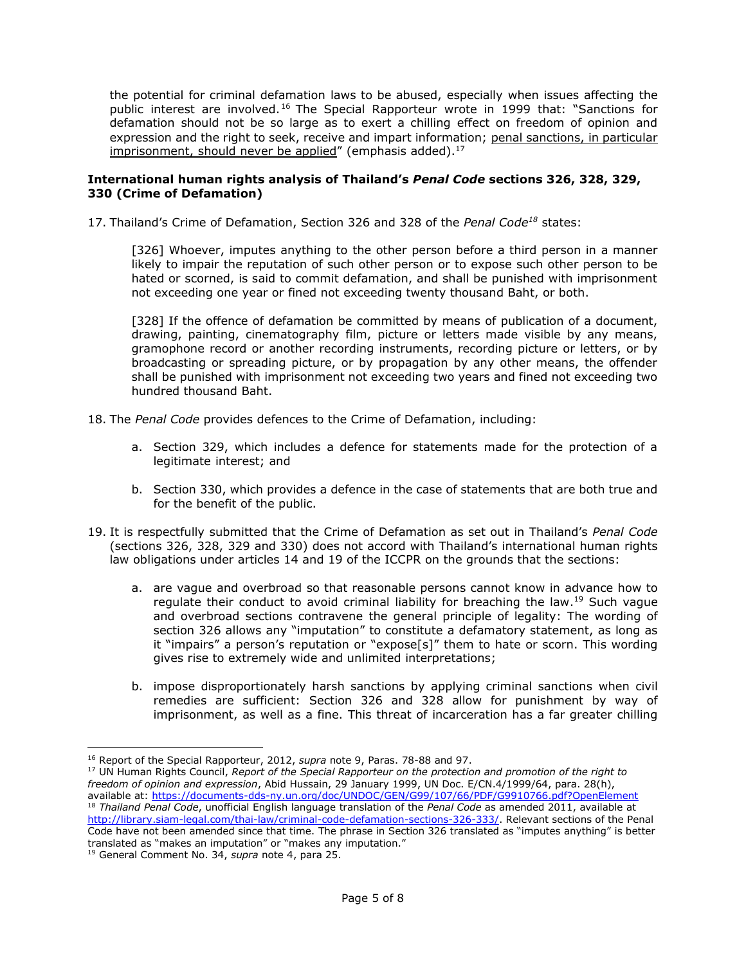the potential for criminal defamation laws to be abused, especially when issues affecting the public interest are involved.<sup>16</sup> The Special Rapporteur wrote in 1999 that: "Sanctions for defamation should not be so large as to exert a chilling effect on freedom of opinion and expression and the right to seek, receive and impart information; penal sanctions, in particular imprisonment, should never be applied" (emphasis added).<sup>17</sup>

#### **International human rights analysis of Thailand's** *Penal Code* **sections 326, 328, 329, 330 (Crime of Defamation)**

17. Thailand's Crime of Defamation, Section 326 and 328 of the *Penal Code<sup>18</sup>* states:

[326] Whoever, imputes anything to the other person before a third person in a manner likely to impair the reputation of such other person or to expose such other person to be hated or scorned, is said to commit defamation, and shall be punished with imprisonment not exceeding one year or fined not exceeding twenty thousand Baht, or both.

[328] If the offence of defamation be committed by means of publication of a document, drawing, painting, cinematography film, picture or letters made visible by any means, gramophone record or another recording instruments, recording picture or letters, or by broadcasting or spreading picture, or by propagation by any other means, the offender shall be punished with imprisonment not exceeding two years and fined not exceeding two hundred thousand Baht.

- 18. The *Penal Code* provides defences to the Crime of Defamation, including:
	- a. Section 329, which includes a defence for statements made for the protection of a legitimate interest; and
	- b. Section 330, which provides a defence in the case of statements that are both true and for the benefit of the public.
- 19. It is respectfully submitted that the Crime of Defamation as set out in Thailand's *Penal Code* (sections 326, 328, 329 and 330) does not accord with Thailand's international human rights law obligations under articles 14 and 19 of the ICCPR on the grounds that the sections:
	- a. are vague and overbroad so that reasonable persons cannot know in advance how to regulate their conduct to avoid criminal liability for breaching the law.<sup>19</sup> Such vague and overbroad sections contravene the general principle of legality: The wording of section 326 allows any "imputation" to constitute a defamatory statement, as long as it "impairs" a person's reputation or "expose[s]" them to hate or scorn. This wording gives rise to extremely wide and unlimited interpretations;
	- b. impose disproportionately harsh sanctions by applying criminal sanctions when civil remedies are sufficient: Section 326 and 328 allow for punishment by way of imprisonment, as well as a fine. This threat of incarceration has a far greater chilling

<sup>16</sup> Report of the Special Rapporteur, 2012, *supra* note 9, Paras. 78-88 and 97.

<sup>17</sup> UN Human Rights Council, *Report of the Special Rapporteur on the protection and promotion of the right to freedom of opinion and expression*, Abid Hussain, 29 January 1999, UN Doc. E/CN.4/1999/64, para. 28(h), available at:<https://documents-dds-ny.un.org/doc/UNDOC/GEN/G99/107/66/PDF/G9910766.pdf?OpenElement> <sup>18</sup> *Thailand Penal Code*, unofficial English language translation of the *Penal Code* as amended 2011, available at [http://library.siam-legal.com/thai-law/criminal-code-defamation-sections-326-333/.](http://library.siam-legal.com/thai-law/criminal-code-defamation-sections-326-333/) Relevant sections of the Penal Code have not been amended since that time. The phrase in Section 326 translated as "imputes anything" is better translated as "makes an imputation" or "makes any imputation."

<sup>19</sup> General Comment No. 34, *supra* note 4, para 25.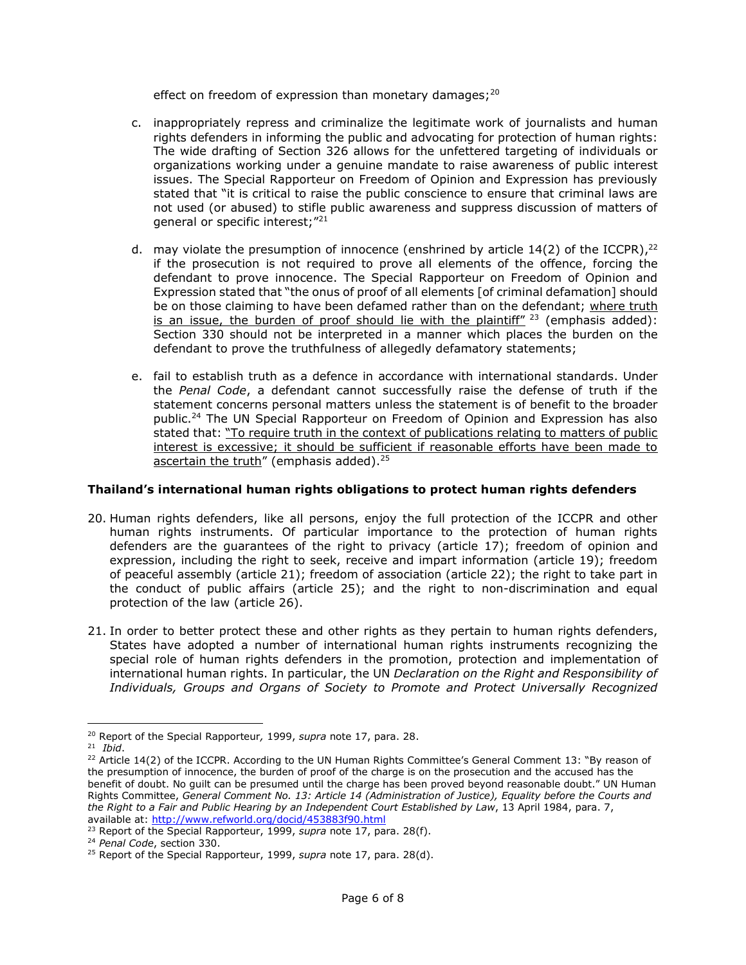effect on freedom of expression than monetary damages;<sup>20</sup>

- c. inappropriately repress and criminalize the legitimate work of journalists and human rights defenders in informing the public and advocating for protection of human rights: The wide drafting of Section 326 allows for the unfettered targeting of individuals or organizations working under a genuine mandate to raise awareness of public interest issues. The Special Rapporteur on Freedom of Opinion and Expression has previously stated that "it is critical to raise the public conscience to ensure that criminal laws are not used (or abused) to stifle public awareness and suppress discussion of matters of general or specific interest;"<sup>21</sup>
- d. may violate the presumption of innocence (enshrined by article 14(2) of the ICCPR),<sup>22</sup> if the prosecution is not required to prove all elements of the offence, forcing the defendant to prove innocence. The Special Rapporteur on Freedom of Opinion and Expression stated that "the onus of proof of all elements [of criminal defamation] should be on those claiming to have been defamed rather than on the defendant; where truth is an issue, the burden of proof should lie with the plaintiff"  $23$  (emphasis added): Section 330 should not be interpreted in a manner which places the burden on the defendant to prove the truthfulness of allegedly defamatory statements;
- e. fail to establish truth as a defence in accordance with international standards. Under the *Penal Code*, a defendant cannot successfully raise the defense of truth if the statement concerns personal matters unless the statement is of benefit to the broader public.<sup>24</sup> The UN Special Rapporteur on Freedom of Opinion and Expression has also stated that: "To require truth in the context of publications relating to matters of public interest is excessive; it should be sufficient if reasonable efforts have been made to ascertain the truth" (emphasis added).<sup>25</sup>

## **Thailand's international human rights obligations to protect human rights defenders**

- 20. Human rights defenders, like all persons, enjoy the full protection of the ICCPR and other human rights instruments. Of particular importance to the protection of human rights defenders are the guarantees of the right to privacy (article 17); freedom of opinion and expression, including the right to seek, receive and impart information (article 19); freedom of peaceful assembly (article 21); freedom of association (article 22); the right to take part in the conduct of public affairs (article 25); and the right to non-discrimination and equal protection of the law (article 26).
- 21. In order to better protect these and other rights as they pertain to human rights defenders, States have adopted a number of international human rights instruments recognizing the special role of human rights defenders in the promotion, protection and implementation of international human rights. In particular, the UN *Declaration on the Right and Responsibility of Individuals, Groups and Organs of Society to Promote and Protect Universally Recognized*

 $\overline{a}$ <sup>20</sup> Report of the Special Rapporteur*,* 1999, *supra* note 17, para. 28.

<sup>21</sup> *Ibid*.

<sup>&</sup>lt;sup>22</sup> Article 14(2) of the ICCPR. According to the UN Human Rights Committee's General Comment 13: "By reason of the presumption of innocence, the burden of proof of the charge is on the prosecution and the accused has the benefit of doubt. No guilt can be presumed until the charge has been proved beyond reasonable doubt." UN Human Rights Committee, *General Comment No. 13: Article 14 (Administration of Justice), Equality before the Courts and the Right to a Fair and Public Hearing by an Independent Court Established by Law*, 13 April 1984, para. 7, available at:<http://www.refworld.org/docid/453883f90.html>

<sup>23</sup> Report of the Special Rapporteur, 1999, *supra* note 17, para. 28(f).

<sup>24</sup> *Penal Code*, section 330.

<sup>25</sup> Report of the Special Rapporteur, 1999, *supra* note 17, para. 28(d).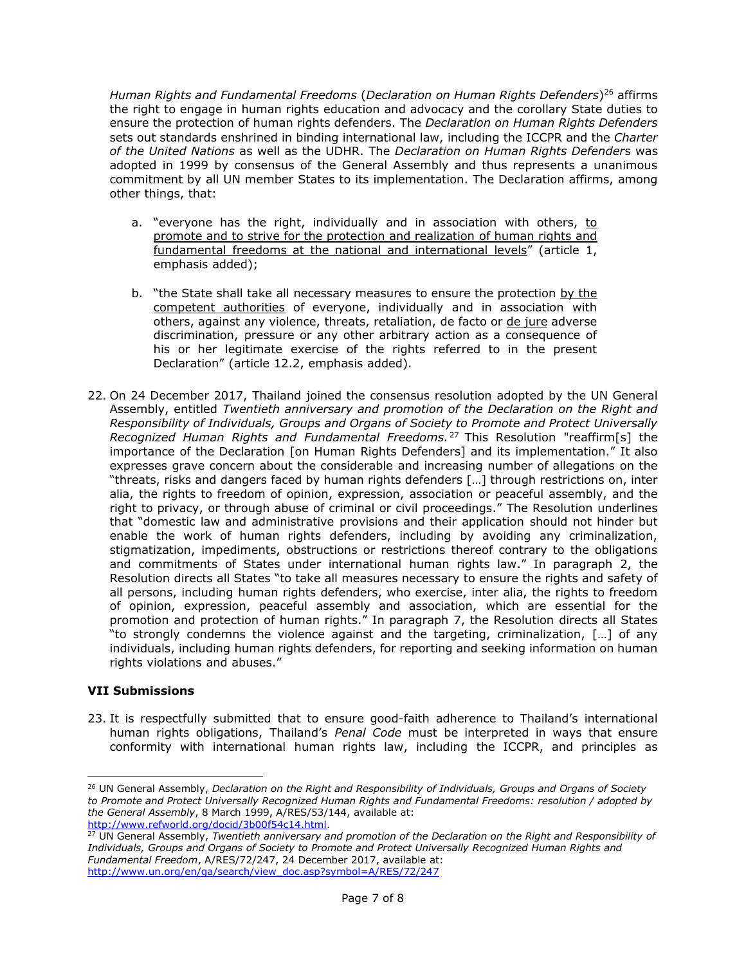*Human Rights and Fundamental Freedoms* (*Declaration on Human Rights Defenders*) <sup>26</sup> affirms the right to engage in human rights education and advocacy and the corollary State duties to ensure the protection of human rights defenders. The *Declaration on Human Rights Defenders* sets out standards enshrined in binding international law, including the ICCPR and the *Charter of the United Nations* as well as the UDHR. The *Declaration on Human Rights Defender*s was adopted in 1999 by consensus of the General Assembly and thus represents a unanimous commitment by all UN member States to its implementation. The Declaration affirms, among other things, that:

- a. "everyone has the right, individually and in association with others, to promote and to strive for the protection and realization of human rights and fundamental freedoms at the national and international levels" (article 1, emphasis added);
- b. "the State shall take all necessary measures to ensure the protection by the competent authorities of everyone, individually and in association with others, against any violence, threats, retaliation, de facto or de jure adverse discrimination, pressure or any other arbitrary action as a consequence of his or her legitimate exercise of the rights referred to in the present Declaration" (article 12.2, emphasis added).
- 22. On 24 December 2017, Thailand joined the consensus resolution adopted by the UN General Assembly, entitled *Twentieth anniversary and promotion of the Declaration on the Right and Responsibility of Individuals, Groups and Organs of Society to Promote and Protect Universally Recognized Human Rights and Fundamental Freedoms.* <sup>27</sup> This Resolution "reaffirm[s] the importance of the Declaration [on Human Rights Defenders] and its implementation." It also expresses grave concern about the considerable and increasing number of allegations on the "threats, risks and dangers faced by human rights defenders […] through restrictions on, inter alia, the rights to freedom of opinion, expression, association or peaceful assembly, and the right to privacy, or through abuse of criminal or civil proceedings." The Resolution underlines that "domestic law and administrative provisions and their application should not hinder but enable the work of human rights defenders, including by avoiding any criminalization, stigmatization, impediments, obstructions or restrictions thereof contrary to the obligations and commitments of States under international human rights law." In paragraph 2, the Resolution directs all States "to take all measures necessary to ensure the rights and safety of all persons, including human rights defenders, who exercise, inter alia, the rights to freedom of opinion, expression, peaceful assembly and association, which are essential for the promotion and protection of human rights." In paragraph 7, the Resolution directs all States "to strongly condemns the violence against and the targeting, criminalization, […] of any individuals, including human rights defenders, for reporting and seeking information on human rights violations and abuses."

### **VII Submissions**

 $\overline{a}$ 

23. It is respectfully submitted that to ensure good-faith adherence to Thailand's international human rights obligations, Thailand's *Penal Code* must be interpreted in ways that ensure conformity with international human rights law, including the ICCPR, and principles as

<sup>26</sup> UN General Assembly, *Declaration on the Right and Responsibility of Individuals, Groups and Organs of Society to Promote and Protect Universally Recognized Human Rights and Fundamental Freedoms: resolution / adopted by the General Assembly*, 8 March 1999, A/RES/53/144, available at: [http://www.refworld.org/docid/3b00f54c14.html.](http://www.refworld.org/docid/3b00f54c14.html)

<sup>27</sup> UN General Assembly, *Twentieth anniversary and promotion of the Declaration on the Right and Responsibility of Individuals, Groups and Organs of Society to Promote and Protect Universally Recognized Human Rights and Fundamental Freedom*, A/RES/72/247, 24 December 2017, available at: [http://www.un.org/en/ga/search/view\\_doc.asp?symbol=A/RES/72/247](http://www.un.org/en/ga/search/view_doc.asp?symbol=A/RES/72/247)